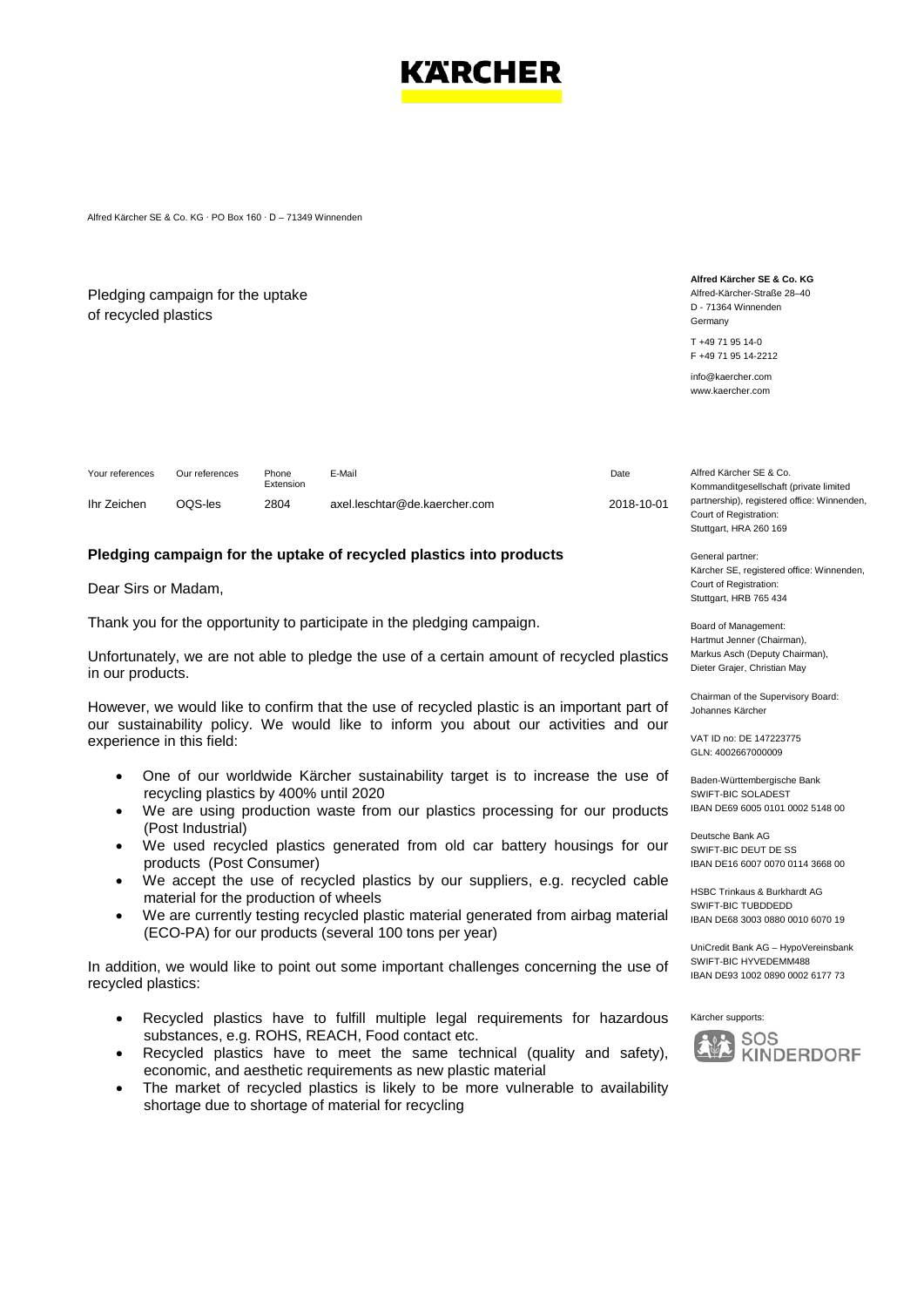

Alfred Kärcher SE & Co. KG ∙ PO Box 160 ∙ D – 71349 Winnenden

## Pledging campaign for the uptake of recycled plastics

**Alfred Kärcher SE & Co. KG** Alfred-Kärcher-Straße 28–40 D - 71364 Winnenden Germany

T +49 71 95 14-0 F +49 71 95 14-2212

info@kaercher.com www.kaercher.com

| Your references | Our references | Phone<br>Extension | E-Mail                        | Date       | Alfred Kärcher SE & Co.                                                               |
|-----------------|----------------|--------------------|-------------------------------|------------|---------------------------------------------------------------------------------------|
| Ihr Zeichen     | DOS-les        | 2804               | axel.leschtar@de.kaercher.com | 2018-10-01 | Kommanditgesellschaft (private limited<br>partnership), registered office: Winnenden, |
|                 |                |                    |                               |            | Court of Registration:                                                                |

## **Pledging campaign for the uptake of recycled plastics into products**

Dear Sirs or Madam,

Thank you for the opportunity to participate in the pledging campaign.

Unfortunately, we are not able to pledge the use of a certain amount of recycled plastics in our products.

However, we would like to confirm that the use of recycled plastic is an important part of our sustainability policy. We would like to inform you about our activities and our experience in this field:

- One of our worldwide Kärcher sustainability target is to increase the use of recycling plastics by 400% until 2020
- We are using production waste from our plastics processing for our products (Post Industrial)
- We used recycled plastics generated from old car battery housings for our products (Post Consumer)
- We accept the use of recycled plastics by our suppliers, e.g. recycled cable material for the production of wheels
- We are currently testing recycled plastic material generated from airbag material (ECO-PA) for our products (several 100 tons per year)

In addition, we would like to point out some important challenges concerning the use of recycled plastics:

- Recycled plastics have to fulfill multiple legal requirements for hazardous substances, e.g. ROHS, REACH, Food contact etc.
- Recycled plastics have to meet the same technical (quality and safety), economic, and aesthetic requirements as new plastic material
- The market of recycled plastics is likely to be more vulnerable to availability shortage due to shortage of material for recycling

Court of Registration: Stuttgart, HRA 260 169 General partner:

Kärcher SE, registered office: Winnenden, Court of Registration: Stuttgart, HRB 765 434

Board of Management: Hartmut Jenner (Chairman), Markus Asch (Deputy Chairman), Dieter Grajer, Christian May

Chairman of the Supervisory Board: Johannes Kärcher

VAT ID no: DE 147223775 GLN: 4002667000009

Baden-Württembergische Bank SWIFT-BIC SOLADEST IBAN DE69 6005 0101 0002 5148 00

Deutsche Bank AG SWIFT-BIC DEUT DE SS IBAN DE16 6007 0070 0114 3668 00

HSBC Trinkaus & Burkhardt AG SWIFT-BIC TUBDDEDD IBAN DE68 3003 0880 0010 6070 19

UniCredit Bank AG – HypoVereinsbank SWIFT-BIC HYVEDEMM488 IBAN DE93 1002 0890 0002 6177 73

Kärcher supports: